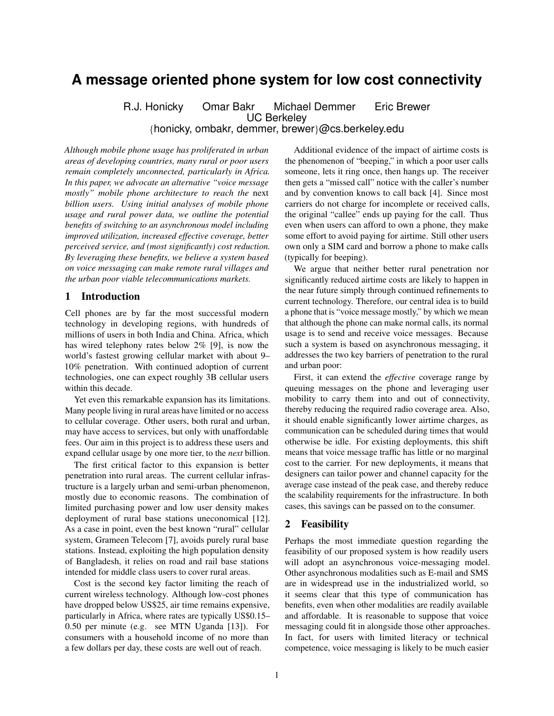# **A message oriented phone system for low cost connectivity**

R.J. Honicky Omar Bakr Michael Demmer Eric Brewer UC Berkeley {honicky, ombakr, demmer, brewer}@cs.berkeley.edu

*Although mobile phone usage has proliferated in urban areas of developing countries, many rural or poor users remain completely unconnected, particularly in Africa. In this paper, we advocate an alternative "voice message mostly" mobile phone architecture to reach the* next *billion users. Using initial analyses of mobile phone usage and rural power data, we outline the potential benefits of switching to an asynchronous model including improved utilization, increased effective coverage, better perceived service, and (most significantly) cost reduction. By leveraging these benefits, we believe a system based on voice messaging can make remote rural villages and the urban poor viable telecommunications markets.*

## 1 Introduction

Cell phones are by far the most successful modern technology in developing regions, with hundreds of millions of users in both India and China. Africa, which has wired telephony rates below 2% [9], is now the world's fastest growing cellular market with about 9– 10% penetration. With continued adoption of current technologies, one can expect roughly 3B cellular users within this decade.

Yet even this remarkable expansion has its limitations. Many people living in rural areas have limited or no access to cellular coverage. Other users, both rural and urban, may have access to services, but only with unaffordable fees. Our aim in this project is to address these users and expand cellular usage by one more tier, to the *next* billion.

The first critical factor to this expansion is better penetration into rural areas. The current cellular infrastructure is a largely urban and semi-urban phenomenon, mostly due to economic reasons. The combination of limited purchasing power and low user density makes deployment of rural base stations uneconomical [12]. As a case in point, even the best known "rural" cellular system, Grameen Telecom [7], avoids purely rural base stations. Instead, exploiting the high population density of Bangladesh, it relies on road and rail base stations intended for middle class users to cover rural areas.

Cost is the second key factor limiting the reach of current wireless technology. Although low-cost phones have dropped below US\$25, air time remains expensive, particularly in Africa, where rates are typically US\$0.15– 0.50 per minute (e.g. see MTN Uganda [13]). For consumers with a household income of no more than a few dollars per day, these costs are well out of reach.

Additional evidence of the impact of airtime costs is the phenomenon of "beeping," in which a poor user calls someone, lets it ring once, then hangs up. The receiver then gets a "missed call" notice with the caller's number and by convention knows to call back [4]. Since most carriers do not charge for incomplete or received calls, the original "callee" ends up paying for the call. Thus even when users can afford to own a phone, they make some effort to avoid paying for airtime. Still other users own only a SIM card and borrow a phone to make calls (typically for beeping).

We argue that neither better rural penetration nor significantly reduced airtime costs are likely to happen in the near future simply through continued refinements to current technology. Therefore, our central idea is to build a phone that is "voice message mostly," by which we mean that although the phone can make normal calls, its normal usage is to send and receive voice messages. Because such a system is based on asynchronous messaging, it addresses the two key barriers of penetration to the rural and urban poor:

First, it can extend the *effective* coverage range by queuing messages on the phone and leveraging user mobility to carry them into and out of connectivity, thereby reducing the required radio coverage area. Also, it should enable significantly lower airtime charges, as communication can be scheduled during times that would otherwise be idle. For existing deployments, this shift means that voice message traffic has little or no marginal cost to the carrier. For new deployments, it means that designers can tailor power and channel capacity for the average case instead of the peak case, and thereby reduce the scalability requirements for the infrastructure. In both cases, this savings can be passed on to the consumer.

## 2 Feasibility

Perhaps the most immediate question regarding the feasibility of our proposed system is how readily users will adopt an asynchronous voice-messaging model. Other asynchronous modalities such as E-mail and SMS are in widespread use in the industrialized world, so it seems clear that this type of communication has benefits, even when other modalities are readily available and affordable. It is reasonable to suppose that voice messaging could fit in alongside those other approaches. In fact, for users with limited literacy or technical competence, voice messaging is likely to be much easier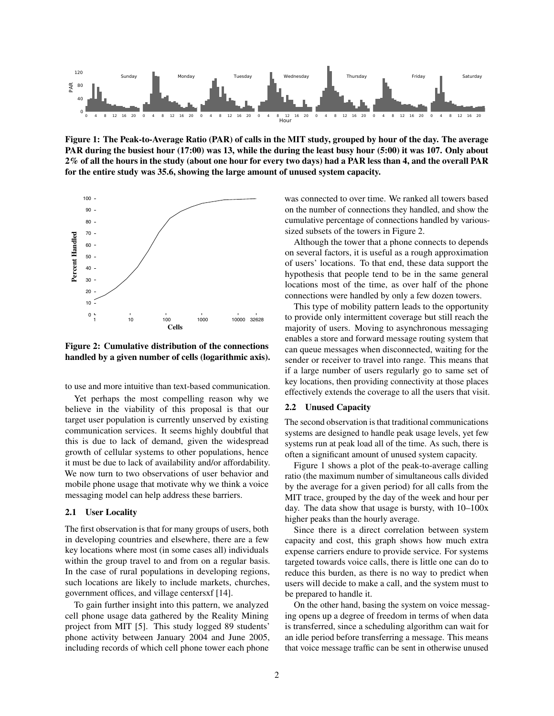

Figure 1: The Peak-to-Average Ratio (PAR) of calls in the MIT study, grouped by hour of the day. The average PAR during the busiest hour (17:00) was 13, while the during the least busy hour (5:00) it was 107. Only about 2% of all the hours in the study (about one hour for every two days) had a PAR less than 4, and the overall PAR for the entire study was 35.6, showing the large amount of unused system capacity.



Figure 2: Cumulative distribution of the connections handled by a given number of cells (logarithmic axis).

to use and more intuitive than text-based communication.

Yet perhaps the most compelling reason why we believe in the viability of this proposal is that our target user population is currently unserved by existing communication services. It seems highly doubtful that this is due to lack of demand, given the widespread growth of cellular systems to other populations, hence it must be due to lack of availability and/or affordability. We now turn to two observations of user behavior and mobile phone usage that motivate why we think a voice messaging model can help address these barriers.

#### 2.1 User Locality

The first observation is that for many groups of users, both in developing countries and elsewhere, there are a few key locations where most (in some cases all) individuals within the group travel to and from on a regular basis. In the case of rural populations in developing regions, such locations are likely to include markets, churches, government offices, and village centersxf [14].

To gain further insight into this pattern, we analyzed cell phone usage data gathered by the Reality Mining project from MIT [5]. This study logged 89 students' phone activity between January 2004 and June 2005, including records of which cell phone tower each phone was connected to over time. We ranked all towers based on the number of connections they handled, and show the cumulative percentage of connections handled by varioussized subsets of the towers in Figure 2.

Although the tower that a phone connects to depends on several factors, it is useful as a rough approximation of users' locations. To that end, these data support the hypothesis that people tend to be in the same general locations most of the time, as over half of the phone connections were handled by only a few dozen towers.

This type of mobility pattern leads to the opportunity to provide only intermittent coverage but still reach the majority of users. Moving to asynchronous messaging enables a store and forward message routing system that can queue messages when disconnected, waiting for the sender or receiver to travel into range. This means that if a large number of users regularly go to same set of key locations, then providing connectivity at those places effectively extends the coverage to all the users that visit.

#### 2.2 Unused Capacity

The second observation is that traditional communications systems are designed to handle peak usage levels, yet few systems run at peak load all of the time. As such, there is often a significant amount of unused system capacity.

Figure 1 shows a plot of the peak-to-average calling ratio (the maximum number of simultaneous calls divided by the average for a given period) for all calls from the MIT trace, grouped by the day of the week and hour per day. The data show that usage is bursty, with 10–100x higher peaks than the hourly average.

Since there is a direct correlation between system capacity and cost, this graph shows how much extra expense carriers endure to provide service. For systems targeted towards voice calls, there is little one can do to reduce this burden, as there is no way to predict when users will decide to make a call, and the system must to be prepared to handle it.

On the other hand, basing the system on voice messaging opens up a degree of freedom in terms of when data is transferred, since a scheduling algorithm can wait for an idle period before transferring a message. This means that voice message traffic can be sent in otherwise unused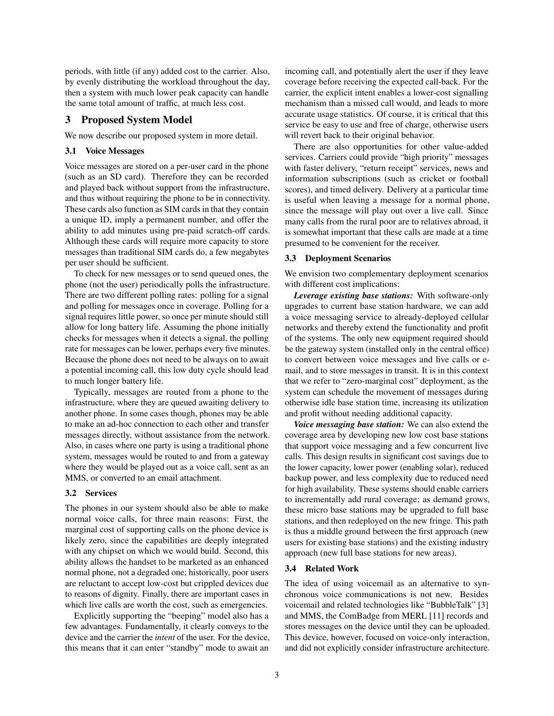periods, with little (if any) added cost to the carrier. Also, by evenly distributing the workload throughout the day, then a system with much lower peak capacity can handle the same total amount of traffic, at much less cost.

## 3 Proposed System Model

We now describe our proposed system in more detail.

## 3.1 Voice Messages

Voice messages are stored on a per-user card in the phone (such as an SD card). Therefore they can be recorded and played back without support from the infrastructure, and thus without requiring the phone to be in connectivity. These cards also function as SIM cards in that they contain a unique ID, imply a permanent number, and offer the ability to add minutes using pre-paid scratch-off cards. Although these cards will require more capacity to store messages than traditional SIM cards do, a few megabytes per user should be sufficient.

To check for new messages or to send queued ones, the phone (not the user) periodically polls the infrastructure. There are two different polling rates: polling for a signal and polling for messages once in coverage. Polling for a signal requires little power, so once per minute should still allow for long battery life. Assuming the phone initially checks for messages when it detects a signal, the polling rate for messages can be lower, perhaps every five minutes. Because the phone does not need to be always on to await a potential incoming call, this low duty cycle should lead to much longer battery life.

Typically, messages are routed from a phone to the infrastructure, where they are queued awaiting delivery to another phone. In some cases though, phones may be able to make an ad-hoc connection to each other and transfer messages directly, without assistance from the network. Also, in cases where one party is using a traditional phone system, messages would be routed to and from a gateway where they would be played out as a voice call, sent as an MMS, or converted to an email attachment.

#### 3.2 Services

The phones in our system should also be able to make normal voice calls, for three main reasons: First, the marginal cost of supporting calls on the phone device is likely zero, since the capabilities are deeply integrated with any chipset on which we would build. Second, this ability allows the handset to be marketed as an enhanced normal phone, not a degraded one; historically, poor users are reluctant to accept low-cost but crippled devices due to reasons of dignity. Finally, there are important cases in which live calls are worth the cost, such as emergencies.

Explicitly supporting the "beeping" model also has a few advantages. Fundamentally, it clearly conveys to the device and the carrier the *intent* of the user. For the device, this means that it can enter "standby" mode to await an incoming call, and potentially alert the user if they leave coverage before receiving the expected call-back. For the carrier, the explicit intent enables a lower-cost signalling mechanism than a missed call would, and leads to more accurate usage statistics. Of course, it is critical that this service be easy to use and free of charge, otherwise users will revert back to their original behavior.

There are also opportunities for other value-added services. Carriers could provide "high priority" messages with faster delivery, "return receipt" services, news and information subscriptions (such as cricket or football scores), and timed delivery. Delivery at a particular time is useful when leaving a message for a normal phone, since the message will play out over a live call. Since many calls from the rural poor are to relatives abroad, it is somewhat important that these calls are made at a time presumed to be convenient for the receiver.

#### 3.3 Deployment Scenarios

We envision two complementary deployment scenarios with different cost implications:

*Leverage existing base stations:* With software-only upgrades to current base station hardware, we can add a voice messaging service to already-deployed cellular networks and thereby extend the functionality and profit of the systems. The only new equipment required should be the gateway system (installed only in the central office) to convert between voice messages and live calls or email, and to store messages in transit. It is in this context that we refer to "zero-marginal cost" deployment, as the system can schedule the movement of messages during otherwise idle base station time, increasing its utilization and profit without needing additional capacity.

*Voice messaging base station:* We can also extend the coverage area by developing new low cost base stations that support voice messaging and a few concurrent live calls. This design results in significant cost savings due to the lower capacity, lower power (enabling solar), reduced backup power, and less complexity due to reduced need for high availability. These systems should enable carriers to incrementally add rural coverage; as demand grows, these micro base stations may be upgraded to full base stations, and then redeployed on the new fringe. This path is thus a middle ground between the first approach (new users for existing base stations) and the existing industry approach (new full base stations for new areas).

#### 3.4 Related Work

The idea of using voicemail as an alternative to synchronous voice communications is not new. Besides voicemail and related technologies like "BubbleTalk" [3] and MMS, the ComBadge from MERL [11] records and stores messages on the device until they can be uploaded. This device, however, focused on voice-only interaction, and did not explicitly consider infrastructure architecture.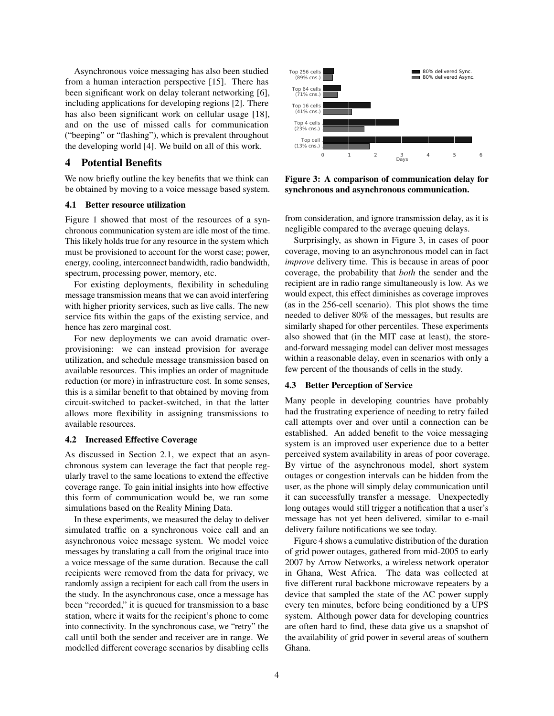Asynchronous voice messaging has also been studied from a human interaction perspective [15]. There has been significant work on delay tolerant networking [6], including applications for developing regions [2]. There has also been significant work on cellular usage [18], and on the use of missed calls for communication ("beeping" or "flashing"), which is prevalent throughout the developing world [4]. We build on all of this work.

## 4 Potential Benefits

We now briefly outline the key benefits that we think can be obtained by moving to a voice message based system.

#### 4.1 Better resource utilization

Figure 1 showed that most of the resources of a synchronous communication system are idle most of the time. This likely holds true for any resource in the system which must be provisioned to account for the worst case; power, energy, cooling, interconnect bandwidth, radio bandwidth, spectrum, processing power, memory, etc.

For existing deployments, flexibility in scheduling message transmission means that we can avoid interfering with higher priority services, such as live calls. The new service fits within the gaps of the existing service, and hence has zero marginal cost.

For new deployments we can avoid dramatic overprovisioning: we can instead provision for average utilization, and schedule message transmission based on available resources. This implies an order of magnitude reduction (or more) in infrastructure cost. In some senses, this is a similar benefit to that obtained by moving from circuit-switched to packet-switched, in that the latter allows more flexibility in assigning transmissions to available resources.

#### 4.2 Increased Effective Coverage

As discussed in Section 2.1, we expect that an asynchronous system can leverage the fact that people regularly travel to the same locations to extend the effective coverage range. To gain initial insights into how effective this form of communication would be, we ran some simulations based on the Reality Mining Data.

In these experiments, we measured the delay to deliver simulated traffic on a synchronous voice call and an asynchronous voice message system. We model voice messages by translating a call from the original trace into a voice message of the same duration. Because the call recipients were removed from the data for privacy, we randomly assign a recipient for each call from the users in the study. In the asynchronous case, once a message has been "recorded," it is queued for transmission to a base station, where it waits for the recipient's phone to come into connectivity. In the synchronous case, we "retry" the call until both the sender and receiver are in range. We modelled different coverage scenarios by disabling cells



Figure 3: A comparison of communication delay for synchronous and asynchronous communication.

from consideration, and ignore transmission delay, as it is negligible compared to the average queuing delays.

Surprisingly, as shown in Figure 3, in cases of poor coverage, moving to an asynchronous model can in fact *improve* delivery time. This is because in areas of poor coverage, the probability that *both* the sender and the recipient are in radio range simultaneously is low. As we would expect, this effect diminishes as coverage improves (as in the 256-cell scenario). This plot shows the time needed to deliver 80% of the messages, but results are similarly shaped for other percentiles. These experiments also showed that (in the MIT case at least), the storeand-forward messaging model can deliver most messages within a reasonable delay, even in scenarios with only a few percent of the thousands of cells in the study.

## 4.3 Better Perception of Service

Many people in developing countries have probably had the frustrating experience of needing to retry failed call attempts over and over until a connection can be established. An added benefit to the voice messaging system is an improved user experience due to a better perceived system availability in areas of poor coverage. By virtue of the asynchronous model, short system outages or congestion intervals can be hidden from the user, as the phone will simply delay communication until it can successfully transfer a message. Unexpectedly long outages would still trigger a notification that a user's message has not yet been delivered, similar to e-mail delivery failure notifications we see today.

Figure 4 shows a cumulative distribution of the duration of grid power outages, gathered from mid-2005 to early 2007 by Arrow Networks, a wireless network operator in Ghana, West Africa. The data was collected at five different rural backbone microwave repeaters by a device that sampled the state of the AC power supply every ten minutes, before being conditioned by a UPS system. Although power data for developing countries are often hard to find, these data give us a snapshot of the availability of grid power in several areas of southern Ghana.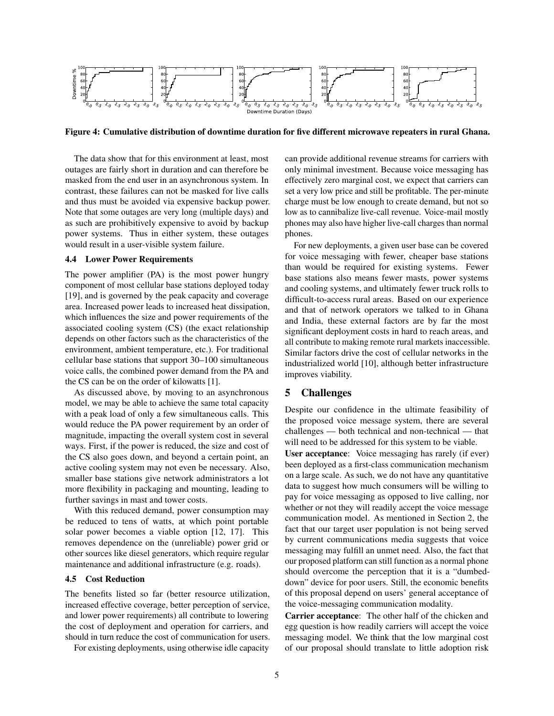

Figure 4: Cumulative distribution of downtime duration for five different microwave repeaters in rural Ghana.

The data show that for this environment at least, most outages are fairly short in duration and can therefore be masked from the end user in an asynchronous system. In contrast, these failures can not be masked for live calls and thus must be avoided via expensive backup power. Note that some outages are very long (multiple days) and as such are prohibitively expensive to avoid by backup power systems. Thus in either system, these outages would result in a user-visible system failure.

#### 4.4 Lower Power Requirements

The power amplifier (PA) is the most power hungry component of most cellular base stations deployed today [19], and is governed by the peak capacity and coverage area. Increased power leads to increased heat dissipation, which influences the size and power requirements of the associated cooling system (CS) (the exact relationship depends on other factors such as the characteristics of the environment, ambient temperature, etc.). For traditional cellular base stations that support 30–100 simultaneous voice calls, the combined power demand from the PA and the CS can be on the order of kilowatts [1].

As discussed above, by moving to an asynchronous model, we may be able to achieve the same total capacity with a peak load of only a few simultaneous calls. This would reduce the PA power requirement by an order of magnitude, impacting the overall system cost in several ways. First, if the power is reduced, the size and cost of the CS also goes down, and beyond a certain point, an active cooling system may not even be necessary. Also, smaller base stations give network administrators a lot more flexibility in packaging and mounting, leading to further savings in mast and tower costs.

With this reduced demand, power consumption may be reduced to tens of watts, at which point portable solar power becomes a viable option [12, 17]. This removes dependence on the (unreliable) power grid or other sources like diesel generators, which require regular maintenance and additional infrastructure (e.g. roads).

#### 4.5 Cost Reduction

The benefits listed so far (better resource utilization, increased effective coverage, better perception of service, and lower power requirements) all contribute to lowering the cost of deployment and operation for carriers, and should in turn reduce the cost of communication for users.

For existing deployments, using otherwise idle capacity

can provide additional revenue streams for carriers with only minimal investment. Because voice messaging has effectively zero marginal cost, we expect that carriers can set a very low price and still be profitable. The per-minute charge must be low enough to create demand, but not so low as to cannibalize live-call revenue. Voice-mail mostly phones may also have higher live-call charges than normal phones.

For new deployments, a given user base can be covered for voice messaging with fewer, cheaper base stations than would be required for existing systems. Fewer base stations also means fewer masts, power systems and cooling systems, and ultimately fewer truck rolls to difficult-to-access rural areas. Based on our experience and that of network operators we talked to in Ghana and India, these external factors are by far the most significant deployment costs in hard to reach areas, and all contribute to making remote rural markets inaccessible. Similar factors drive the cost of cellular networks in the industrialized world [10], although better infrastructure improves viability.

## 5 Challenges

Despite our confidence in the ultimate feasibility of the proposed voice message system, there are several challenges — both technical and non-technical — that will need to be addressed for this system to be viable.

User acceptance: Voice messaging has rarely (if ever) been deployed as a first-class communication mechanism on a large scale. As such, we do not have any quantitative data to suggest how much consumers will be willing to pay for voice messaging as opposed to live calling, nor whether or not they will readily accept the voice message communication model. As mentioned in Section 2, the fact that our target user population is not being served by current communications media suggests that voice messaging may fulfill an unmet need. Also, the fact that our proposed platform can still function as a normal phone should overcome the perception that it is a "dumbeddown" device for poor users. Still, the economic benefits of this proposal depend on users' general acceptance of the voice-messaging communication modality.

Carrier acceptance: The other half of the chicken and egg question is how readily carriers will accept the voice messaging model. We think that the low marginal cost of our proposal should translate to little adoption risk